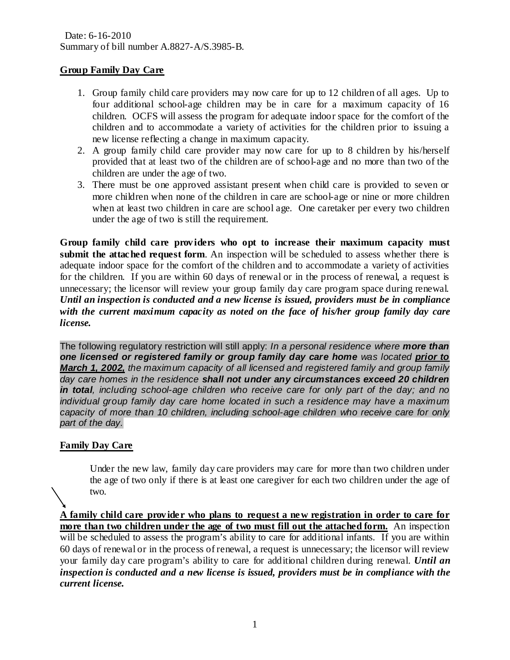Date: 6-16-2010 Summary of bill number A.8827-A/S.3985-B.

# **Group Family Day Care**

- 1. Group family child care providers may now care for up to 12 children of all ages. Up to four additional school-age children may be in care for a maximum capacity of 16 children. OCFS will assess the program for adequate indoor space for the comfort of the children and to accommodate a variety of activities for the children prior to issuing a new license reflecting a change in maximum capacity.
- 2. A group family child care provider may now care for up to 8 children by his/herself provided that at least two of the children are of school-age and no more than two of the children are under the age of two.
- 3. There must be one approved assistant present when child care is provided to seven or more children when none of the children in care are school-age or nine or more children when at least two children in care are school age. One caretaker per every two children under the age of two is still the requirement.

**Group family child care prov iders who opt to increase their maximum capacity must submit the attached request form**. An inspection will be scheduled to assess whether there is adequate indoor space for the comfort of the children and to accommodate a variety of activities for the children. If you are within 60 days of renewal or in the process of renewal, a request is unnecessary; the licensor will review your group family day care program space during renewal. *Until an inspection is conducted and a new license is issued, providers must be in compliance with the current maximum capacity as noted on the face of his/her group family day care license.* 

The following regulatory restriction will still apply: *In a personal residence where more than one licensed or registered family or group family day care home was located prior to March 1, 2002, the maximum capacity of all licensed and registered family and group family day care homes in the residence shall not under any circumstances exceed 20 children in total, including school-age children who receive care for only part of the day; and no individual group family day care home located in such a residence may have a maximum capacity of more than 10 children, including school-age children who receive care for only part of the day.*

# **Family Day Care**

Under the new law, family day care providers may care for more than two children under the age of two only if there is at least one caregiver for each two children under the age of two.

**A family child care prov ider who plans to request a new registration in order to care for more than two children under the age of two must fill out the attached form.** An inspection will be scheduled to assess the program's ability to care for additional infants. If you are within 60 days of renewal or in the process of renewal, a request is unnecessary; the licensor will review your family day care program's ability to care for additional children during renewal. *Until an inspection is conducted and a new license is issued, providers must be in compliance with the current license.*